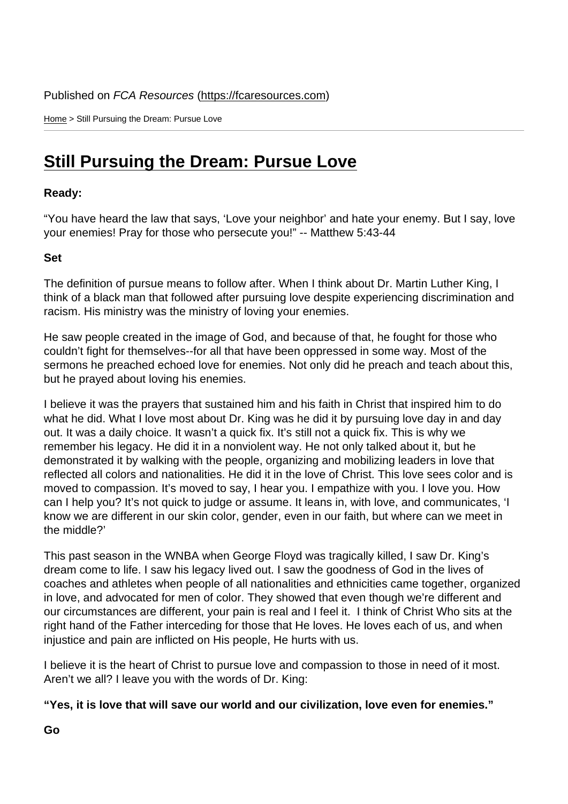Home > Still Pursuing the Dream: Pursue Love

## [Stil](https://fcaresources.com/)l Pursuing the Dream: Pursue Love

Ready:

["You have heard the law that says, 'Love your neighbor' and h](https://fcaresources.com/devotional/still-pursuing-dream-pursue-love)ate your enemy. But I say, love your enemies! Pray for those who persecute you!" -- Matthew 5:43-44

Set

The definition of pursue means to follow after. When I think about Dr. Martin Luther King, I think of a black man that followed after pursuing love despite experiencing discrimination and racism. His ministry was the ministry of loving your enemies.

He saw people created in the image of God, and because of that, he fought for those who couldn't fight for themselves--for all that have been oppressed in some way. Most of the sermons he preached echoed love for enemies. Not only did he preach and teach about this, but he prayed about loving his enemies.

I believe it was the prayers that sustained him and his faith in Christ that inspired him to do what he did. What I love most about Dr. King was he did it by pursuing love day in and day out. It was a daily choice. It wasn't a quick fix. It's still not a quick fix. This is why we remember his legacy. He did it in a nonviolent way. He not only talked about it, but he demonstrated it by walking with the people, organizing and mobilizing leaders in love that reflected all colors and nationalities. He did it in the love of Christ. This love sees color and is moved to compassion. It's moved to say, I hear you. I empathize with you. I love you. How can I help you? It's not quick to judge or assume. It leans in, with love, and communicates, 'I know we are different in our skin color, gender, even in our faith, but where can we meet in the middle?'

This past season in the WNBA when George Floyd was tragically killed, I saw Dr. King's dream come to life. I saw his legacy lived out. I saw the goodness of God in the lives of coaches and athletes when people of all nationalities and ethnicities came together, organized in love, and advocated for men of color. They showed that even though we're different and our circumstances are different, your pain is real and I feel it. I think of Christ Who sits at the right hand of the Father interceding for those that He loves. He loves each of us, and when injustice and pain are inflicted on His people, He hurts with us.

I believe it is the heart of Christ to pursue love and compassion to those in need of it most. Aren't we all? I leave you with the words of Dr. King:

"Yes, it is love that will save our world and our civilization, love even for enemies."